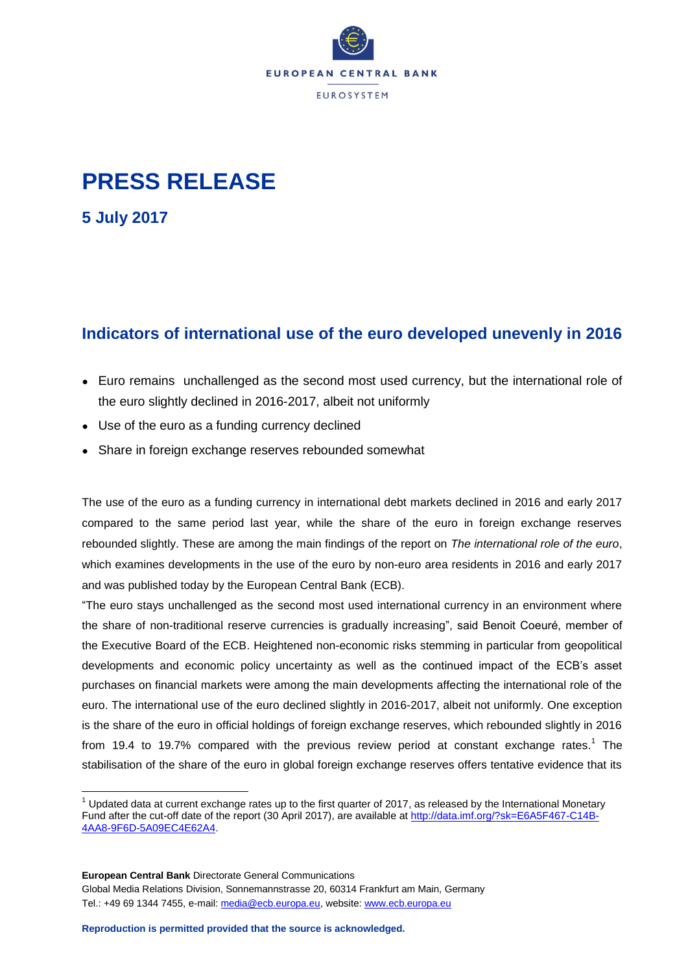

## **PRESS RELEASE**

**5 July 2017**

 $\overline{a}$ 

## **Indicators of international use of the euro developed unevenly in 2016**

- Euro remains unchallenged as the second most used currency, but the international role of the euro slightly declined in 2016-2017, albeit not uniformly
- Use of the euro as a funding currency declined
- Share in foreign exchange reserves rebounded somewhat

The use of the euro as a funding currency in international debt markets declined in 2016 and early 2017 compared to the same period last year, while the share of the euro in foreign exchange reserves rebounded slightly. These are among the main findings of the report on *The international role of the euro*, which examines developments in the use of the euro by non-euro area residents in 2016 and early 2017 and was published today by the European Central Bank (ECB).

"The euro stays unchallenged as the second most used international currency in an environment where the share of non-traditional reserve currencies is gradually increasing", said Benoit Coeuré, member of the Executive Board of the ECB. Heightened non-economic risks stemming in particular from geopolitical developments and economic policy uncertainty as well as the continued impact of the ECB's asset purchases on financial markets were among the main developments affecting the international role of the euro. The international use of the euro declined slightly in 2016-2017, albeit not uniformly. One exception is the share of the euro in official holdings of foreign exchange reserves, which rebounded slightly in 2016 from 19.4 to 19.7% compared with the previous review period at constant exchange rates.<sup>1</sup> The stabilisation of the share of the euro in global foreign exchange reserves offers tentative evidence that its

**European Central Bank** Directorate General Communications Global Media Relations Division, Sonnemannstrasse 20, 60314 Frankfurt am Main, Germany Tel.: +49 69 1344 7455, e-mail: [media@ecb.europa.eu,](mailto:media@ecb.europa.eu) website[: www.ecb.europa.eu](http://www.ecb.europa.eu/)

 $1$  Updated data at current exchange rates up to the first quarter of 2017, as released by the International Monetary Fund after the cut-off date of the report (30 April 2017), are available a[t http://data.imf.org/?sk=E6A5F467-C14B-](http://data.imf.org/?sk=E6A5F467-C14B-4AA8-9F6D-5A09EC4E62A4)[4AA8-9F6D-5A09EC4E62A4.](http://data.imf.org/?sk=E6A5F467-C14B-4AA8-9F6D-5A09EC4E62A4)